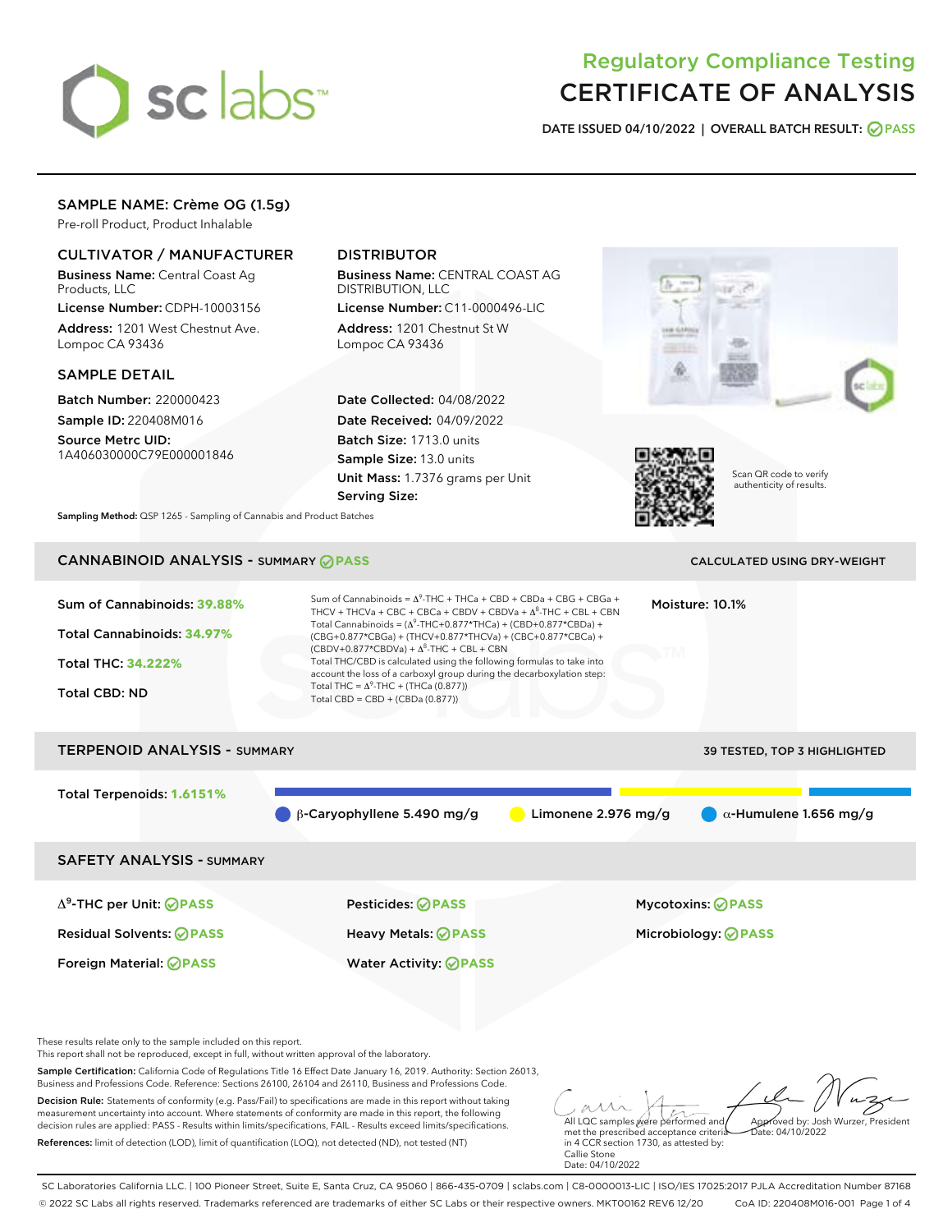

# Regulatory Compliance Testing CERTIFICATE OF ANALYSIS

DATE ISSUED 04/10/2022 | OVERALL BATCH RESULT: @ PASS

# SAMPLE NAME: Crème OG (1.5g)

Pre-roll Product, Product Inhalable

# CULTIVATOR / MANUFACTURER

Business Name: Central Coast Ag Products, LLC

License Number: CDPH-10003156 Address: 1201 West Chestnut Ave. Lompoc CA 93436

### SAMPLE DETAIL

Batch Number: 220000423 Sample ID: 220408M016

Source Metrc UID: 1A406030000C79E000001846

# DISTRIBUTOR

Business Name: CENTRAL COAST AG DISTRIBUTION, LLC

License Number: C11-0000496-LIC Address: 1201 Chestnut St W Lompoc CA 93436

Date Collected: 04/08/2022 Date Received: 04/09/2022 Batch Size: 1713.0 units Sample Size: 13.0 units Unit Mass: 1.7376 grams per Unit Serving Size:





Scan QR code to verify authenticity of results.

Sampling Method: QSP 1265 - Sampling of Cannabis and Product Batches

# CANNABINOID ANALYSIS - SUMMARY **PASS** CALCULATED USING DRY-WEIGHT

| Sum of Cannabinoids: 39.88%<br>Total Cannabinoids: 34.97%<br><b>Total THC: 34.222%</b><br><b>Total CBD: ND</b> | Sum of Cannabinoids = $A^9$ -THC + THCa + CBD + CBDa + CBG + CBGa +<br>THCV + THCVa + CBC + CBCa + CBDV + CBDVa + $\Delta^8$ -THC + CBL + CBN<br>Total Cannabinoids = $(\Delta^9$ -THC+0.877*THCa) + (CBD+0.877*CBDa) +<br>(CBG+0.877*CBGa) + (THCV+0.877*THCVa) + (CBC+0.877*CBCa) +<br>$(CBDV+0.877*CBDVa) + \Delta^8$ -THC + CBL + CBN<br>Total THC/CBD is calculated using the following formulas to take into<br>account the loss of a carboxyl group during the decarboxylation step:<br>Total THC = $\Delta^9$ -THC + (THCa (0.877))<br>Total CBD = $CBD + (CBDa (0.877))$ |                       | Moisture: 10.1%                                 |
|----------------------------------------------------------------------------------------------------------------|-----------------------------------------------------------------------------------------------------------------------------------------------------------------------------------------------------------------------------------------------------------------------------------------------------------------------------------------------------------------------------------------------------------------------------------------------------------------------------------------------------------------------------------------------------------------------------------|-----------------------|-------------------------------------------------|
| <b>TERPENOID ANALYSIS - SUMMARY</b>                                                                            |                                                                                                                                                                                                                                                                                                                                                                                                                                                                                                                                                                                   |                       | 39 TESTED, TOP 3 HIGHLIGHTED                    |
| Total Terpenoids: 1.6151%                                                                                      | $\beta$ -Caryophyllene 5.490 mg/g                                                                                                                                                                                                                                                                                                                                                                                                                                                                                                                                                 | Limonene $2.976$ mg/g | $\alpha$ -Humulene 1.656 mg/g                   |
| <b>SAFETY ANALYSIS - SUMMARY</b>                                                                               |                                                                                                                                                                                                                                                                                                                                                                                                                                                                                                                                                                                   |                       |                                                 |
| $\Delta^9$ -THC per Unit: <b>PASS</b><br><b>Residual Solvents: ØPASS</b>                                       | Pesticides: ⊘PASS<br><b>Heavy Metals: ⊘ PASS</b>                                                                                                                                                                                                                                                                                                                                                                                                                                                                                                                                  |                       | Mycotoxins: ⊘PASS<br>Microbiology: <b>⊘PASS</b> |
| Foreign Material: <b>⊘ PASS</b>                                                                                | <b>Water Activity: ⊘ PASS</b>                                                                                                                                                                                                                                                                                                                                                                                                                                                                                                                                                     |                       |                                                 |

These results relate only to the sample included on this report.

This report shall not be reproduced, except in full, without written approval of the laboratory.

Sample Certification: California Code of Regulations Title 16 Effect Date January 16, 2019. Authority: Section 26013, Business and Professions Code. Reference: Sections 26100, 26104 and 26110, Business and Professions Code.

Decision Rule: Statements of conformity (e.g. Pass/Fail) to specifications are made in this report without taking measurement uncertainty into account. Where statements of conformity are made in this report, the following decision rules are applied: PASS - Results within limits/specifications, FAIL - Results exceed limits/specifications. References: limit of detection (LOD), limit of quantification (LOQ), not detected (ND), not tested (NT)

All LQC samples were performed and Approved by: Josh Wurzer, President  $hat(0.4/10/2022)$ 

met the prescribed acceptance criteria in 4 CCR section 1730, as attested by: Callie Stone Date: 04/10/2022

SC Laboratories California LLC. | 100 Pioneer Street, Suite E, Santa Cruz, CA 95060 | 866-435-0709 | sclabs.com | C8-0000013-LIC | ISO/IES 17025:2017 PJLA Accreditation Number 87168 © 2022 SC Labs all rights reserved. Trademarks referenced are trademarks of either SC Labs or their respective owners. MKT00162 REV6 12/20 CoA ID: 220408M016-001 Page 1 of 4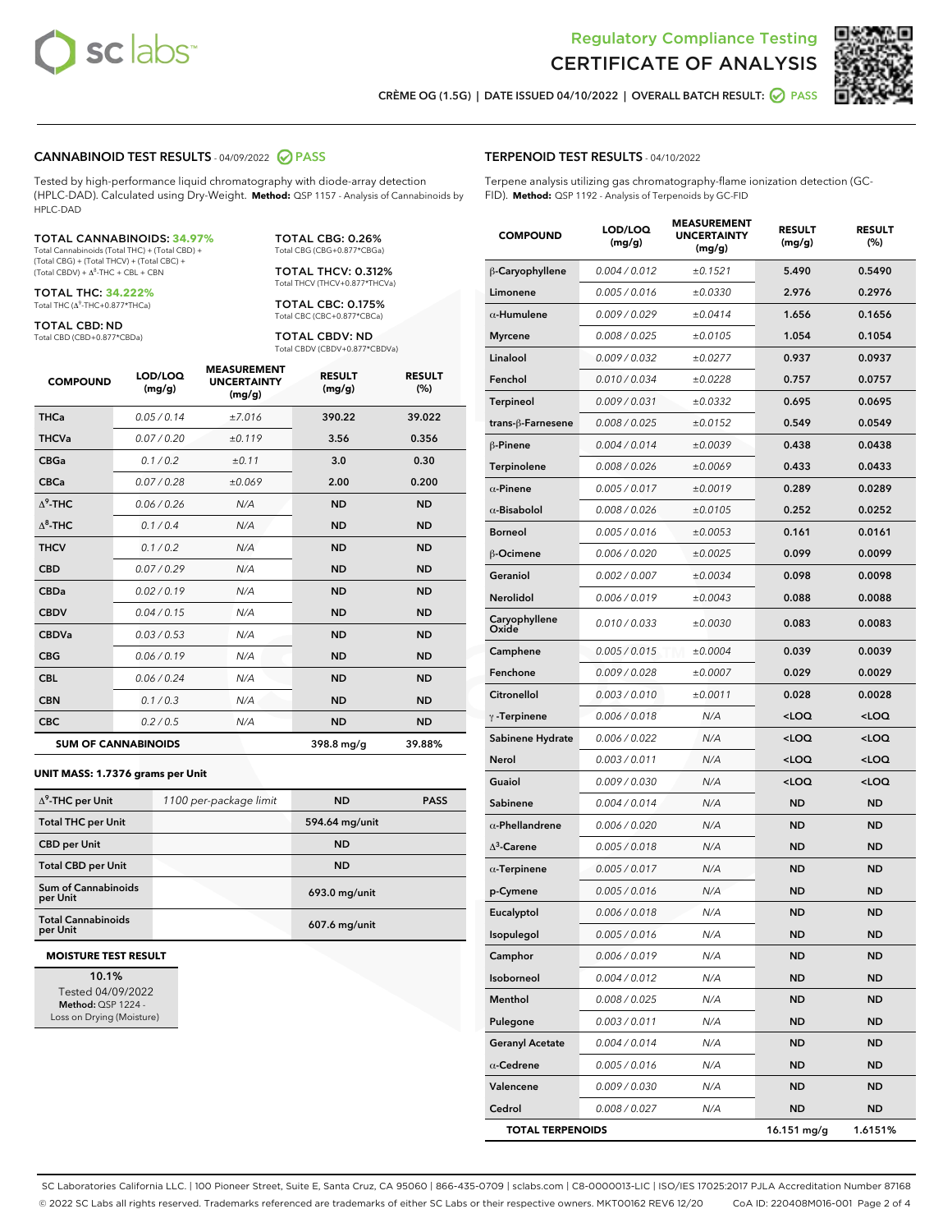



CRÈME OG (1.5G) | DATE ISSUED 04/10/2022 | OVERALL BATCH RESULT: Ø PASS

### CANNABINOID TEST RESULTS - 04/09/2022 2 PASS

Tested by high-performance liquid chromatography with diode-array detection (HPLC-DAD). Calculated using Dry-Weight. **Method:** QSP 1157 - Analysis of Cannabinoids by HPLC-DAD

#### TOTAL CANNABINOIDS: **34.97%**

Total Cannabinoids (Total THC) + (Total CBD) + (Total CBG) + (Total THCV) + (Total CBC) +  $(Total$  CBDV) +  $\Delta$ <sup>8</sup>-THC + CBL + CBN

TOTAL THC: **34.222%** Total THC (Δ<sup>9</sup> -THC+0.877\*THCa)

TOTAL CBD: ND

Total CBD (CBD+0.877\*CBDa)

TOTAL CBG: 0.26% Total CBG (CBG+0.877\*CBGa)

TOTAL THCV: 0.312% Total THCV (THCV+0.877\*THCVa)

TOTAL CBC: 0.175% Total CBC (CBC+0.877\*CBCa)

TOTAL CBDV: ND Total CBDV (CBDV+0.877\*CBDVa)

| <b>COMPOUND</b>  | LOD/LOQ<br>(mg/g)          | <b>MEASUREMENT</b><br><b>UNCERTAINTY</b><br>(mg/g) | <b>RESULT</b><br>(mg/g) | <b>RESULT</b><br>(%) |
|------------------|----------------------------|----------------------------------------------------|-------------------------|----------------------|
| <b>THCa</b>      | 0.05/0.14                  | ±7.016                                             | 390.22                  | 39.022               |
| <b>THCVa</b>     | 0.07 / 0.20                | ±0.119                                             | 3.56                    | 0.356                |
| <b>CBGa</b>      | 0.1/0.2                    | ±0.11                                              | 3.0                     | 0.30                 |
| <b>CBCa</b>      | 0.07/0.28                  | ±0.069                                             | 2.00                    | 0.200                |
| $\Lambda^9$ -THC | 0.06/0.26                  | N/A                                                | <b>ND</b>               | <b>ND</b>            |
| $\Lambda^8$ -THC | 0.1/0.4                    | N/A                                                | <b>ND</b>               | <b>ND</b>            |
| <b>THCV</b>      | 0.1 / 0.2                  | N/A                                                | <b>ND</b>               | <b>ND</b>            |
| <b>CBD</b>       | 0.07/0.29                  | N/A                                                | <b>ND</b>               | <b>ND</b>            |
| <b>CBDa</b>      | 0.02/0.19                  | N/A                                                | <b>ND</b>               | <b>ND</b>            |
| <b>CBDV</b>      | 0.04/0.15                  | N/A                                                | <b>ND</b>               | <b>ND</b>            |
| <b>CBDVa</b>     | 0.03 / 0.53                | N/A                                                | <b>ND</b>               | <b>ND</b>            |
| <b>CBG</b>       | 0.06/0.19                  | N/A                                                | <b>ND</b>               | <b>ND</b>            |
| <b>CBL</b>       | 0.06 / 0.24                | N/A                                                | <b>ND</b>               | <b>ND</b>            |
| <b>CBN</b>       | 0.1 / 0.3                  | N/A                                                | <b>ND</b>               | <b>ND</b>            |
| <b>CBC</b>       | 0.2 / 0.5                  | N/A                                                | <b>ND</b>               | <b>ND</b>            |
|                  | <b>SUM OF CANNABINOIDS</b> |                                                    | 398.8 mg/g              | 39.88%               |

#### **UNIT MASS: 1.7376 grams per Unit**

| $\Delta^9$ -THC per Unit               | 1100 per-package limit | <b>ND</b>       | <b>PASS</b> |
|----------------------------------------|------------------------|-----------------|-------------|
| <b>Total THC per Unit</b>              |                        | 594.64 mg/unit  |             |
| <b>CBD per Unit</b>                    |                        | <b>ND</b>       |             |
| <b>Total CBD per Unit</b>              |                        | <b>ND</b>       |             |
| <b>Sum of Cannabinoids</b><br>per Unit |                        | 693.0 mg/unit   |             |
| <b>Total Cannabinoids</b><br>per Unit  |                        | $607.6$ mg/unit |             |

#### **MOISTURE TEST RESULT**

10.1% Tested 04/09/2022 Method: QSP 1224 - Loss on Drying (Moisture)

## TERPENOID TEST RESULTS - 04/10/2022

Terpene analysis utilizing gas chromatography-flame ionization detection (GC-FID). **Method:** QSP 1192 - Analysis of Terpenoids by GC-FID

| <b>COMPOUND</b>         | LOD/LOQ<br>(mg/g) | <b>MEASUREMENT</b><br><b>UNCERTAINTY</b><br>(mg/g) | <b>RESULT</b><br>(mg/g)                          | <b>RESULT</b><br>(%) |
|-------------------------|-------------------|----------------------------------------------------|--------------------------------------------------|----------------------|
| β-Caryophyllene         | 0.004 / 0.012     | ±0.1521                                            | 5.490                                            | 0.5490               |
| Limonene                | 0.005 / 0.016     | ±0.0330                                            | 2.976                                            | 0.2976               |
| $\alpha$ -Humulene      | 0.009/0.029       | ±0.0414                                            | 1.656                                            | 0.1656               |
| <b>Myrcene</b>          | 0.008 / 0.025     | ±0.0105                                            | 1.054                                            | 0.1054               |
| Linalool                | 0.009 / 0.032     | ±0.0277                                            | 0.937                                            | 0.0937               |
| Fenchol                 | 0.010 / 0.034     | ±0.0228                                            | 0.757                                            | 0.0757               |
| <b>Terpineol</b>        | 0.009 / 0.031     | ±0.0332                                            | 0.695                                            | 0.0695               |
| trans-ß-Farnesene       | 0.008 / 0.025     | ±0.0152                                            | 0.549                                            | 0.0549               |
| $\beta$ -Pinene         | 0.004 / 0.014     | ±0.0039                                            | 0.438                                            | 0.0438               |
| <b>Terpinolene</b>      | 0.008 / 0.026     | ±0.0069                                            | 0.433                                            | 0.0433               |
| $\alpha$ -Pinene        | 0.005 / 0.017     | ±0.0019                                            | 0.289                                            | 0.0289               |
| $\alpha$ -Bisabolol     | 0.008 / 0.026     | ±0.0105                                            | 0.252                                            | 0.0252               |
| <b>Borneol</b>          | 0.005 / 0.016     | ±0.0053                                            | 0.161                                            | 0.0161               |
| <b>B-Ocimene</b>        | 0.006 / 0.020     | ±0.0025                                            | 0.099                                            | 0.0099               |
| Geraniol                | 0.002 / 0.007     | ±0.0034                                            | 0.098                                            | 0.0098               |
| <b>Nerolidol</b>        | 0.006 / 0.019     | ±0.0043                                            | 0.088                                            | 0.0088               |
| Caryophyllene<br>Oxide  | 0.010 / 0.033     | ±0.0030                                            | 0.083                                            | 0.0083               |
| Camphene                | 0.005 / 0.015     | ±0.0004                                            | 0.039                                            | 0.0039               |
| Fenchone                | 0.009 / 0.028     | ±0.0007                                            | 0.029                                            | 0.0029               |
| Citronellol             | 0.003 / 0.010     | ±0.0011                                            | 0.028                                            | 0.0028               |
| $\gamma$ -Terpinene     | 0.006 / 0.018     | N/A                                                | <loq< th=""><th><math>&lt;</math>LOQ</th></loq<> | $<$ LOQ              |
| Sabinene Hydrate        | 0.006 / 0.022     | N/A                                                | <loq< th=""><th><loq< th=""></loq<></th></loq<>  | <loq< th=""></loq<>  |
| Nerol                   | 0.003 / 0.011     | N/A                                                | <loq< th=""><th><loq< th=""></loq<></th></loq<>  | <loq< th=""></loq<>  |
| Guaiol                  | 0.009 / 0.030     | N/A                                                | <loq< th=""><th><math>&lt;</math>LOQ</th></loq<> | $<$ LOQ              |
| Sabinene                | 0.004 / 0.014     | N/A                                                | <b>ND</b>                                        | ND                   |
| $\alpha$ -Phellandrene  | 0.006 / 0.020     | N/A                                                | <b>ND</b>                                        | ND                   |
| $\Delta^3$ -Carene      | 0.005 / 0.018     | N/A                                                | ND                                               | <b>ND</b>            |
| $\alpha$ -Terpinene     | 0.005 / 0.017     | N/A                                                | <b>ND</b>                                        | <b>ND</b>            |
| p-Cymene                | 0.005 / 0.016     | N/A                                                | ND                                               | ND                   |
| Eucalyptol              | 0.006 / 0.018     | N/A                                                | <b>ND</b>                                        | <b>ND</b>            |
| Isopulegol              | 0.005 / 0.016     | N/A                                                | ND                                               | ND                   |
| Camphor                 | 0.006 / 0.019     | N/A                                                | ND                                               | ND                   |
| Isoborneol              | 0.004 / 0.012     | N/A                                                | <b>ND</b>                                        | ND                   |
| Menthol                 | 0.008 / 0.025     | N/A                                                | <b>ND</b>                                        | ND                   |
| Pulegone                | 0.003 / 0.011     | N/A                                                | ND                                               | ND                   |
| <b>Geranyl Acetate</b>  | 0.004 / 0.014     | N/A                                                | ND                                               | ND                   |
| $\alpha$ -Cedrene       | 0.005 / 0.016     | N/A                                                | <b>ND</b>                                        | ND                   |
| Valencene               | 0.009 / 0.030     | N/A                                                | ND                                               | ND                   |
| Cedrol                  | 0.008 / 0.027     | N/A                                                | <b>ND</b>                                        | ND                   |
| <b>TOTAL TERPENOIDS</b> |                   |                                                    | 16.151 mg/g                                      | 1.6151%              |

SC Laboratories California LLC. | 100 Pioneer Street, Suite E, Santa Cruz, CA 95060 | 866-435-0709 | sclabs.com | C8-0000013-LIC | ISO/IES 17025:2017 PJLA Accreditation Number 87168 © 2022 SC Labs all rights reserved. Trademarks referenced are trademarks of either SC Labs or their respective owners. MKT00162 REV6 12/20 CoA ID: 220408M016-001 Page 2 of 4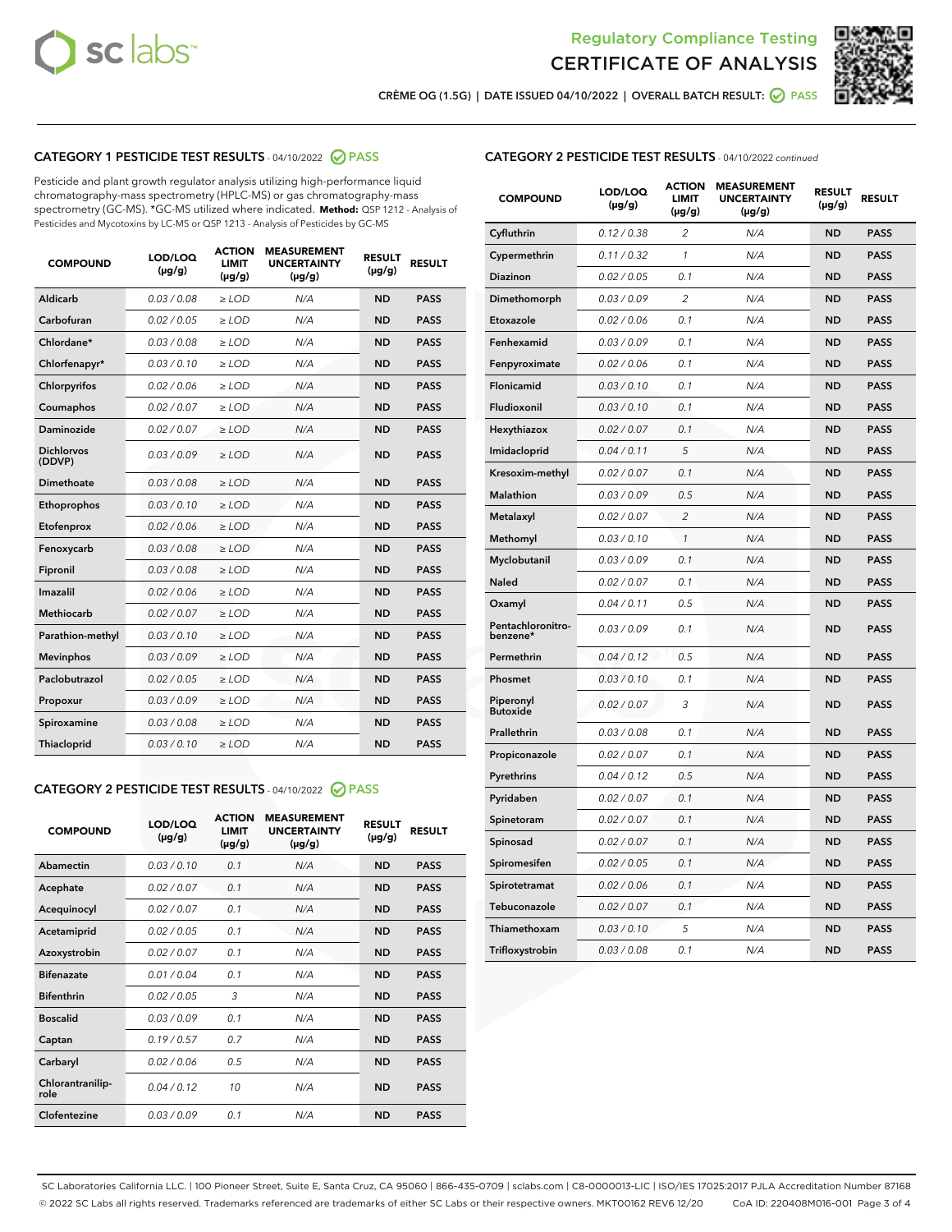



CRÈME OG (1.5G) | DATE ISSUED 04/10/2022 | OVERALL BATCH RESULT: ● PASS

# CATEGORY 1 PESTICIDE TEST RESULTS - 04/10/2022 2 PASS

Pesticide and plant growth regulator analysis utilizing high-performance liquid chromatography-mass spectrometry (HPLC-MS) or gas chromatography-mass spectrometry (GC-MS). \*GC-MS utilized where indicated. **Method:** QSP 1212 - Analysis of Pesticides and Mycotoxins by LC-MS or QSP 1213 - Analysis of Pesticides by GC-MS

| <b>COMPOUND</b>             | LOD/LOQ<br>$(\mu g/g)$ | <b>ACTION</b><br><b>LIMIT</b><br>$(\mu g/g)$ | <b>MEASUREMENT</b><br><b>UNCERTAINTY</b><br>$(\mu g/g)$ | <b>RESULT</b><br>$(\mu g/g)$ | <b>RESULT</b> |
|-----------------------------|------------------------|----------------------------------------------|---------------------------------------------------------|------------------------------|---------------|
| <b>Aldicarb</b>             | 0.03 / 0.08            | $\geq$ LOD                                   | N/A                                                     | <b>ND</b>                    | <b>PASS</b>   |
| Carbofuran                  | 0.02 / 0.05            | $\ge$ LOD                                    | N/A                                                     | <b>ND</b>                    | <b>PASS</b>   |
| Chlordane*                  | 0.03/0.08              | $>$ LOD                                      | N/A                                                     | <b>ND</b>                    | <b>PASS</b>   |
| Chlorfenapyr*               | 0.03/0.10              | ≥ LOD                                        | N/A                                                     | <b>ND</b>                    | <b>PASS</b>   |
| Chlorpyrifos                | 0.02/0.06              | $>$ LOD                                      | N/A                                                     | <b>ND</b>                    | <b>PASS</b>   |
| Coumaphos                   | 0.02 / 0.07            | $\ge$ LOD                                    | N/A                                                     | <b>ND</b>                    | <b>PASS</b>   |
| Daminozide                  | 0.02 / 0.07            | ≥ LOD                                        | N/A                                                     | <b>ND</b>                    | <b>PASS</b>   |
| <b>Dichlorvos</b><br>(DDVP) | 0.03/0.09              | > LOD                                        | N/A                                                     | <b>ND</b>                    | <b>PASS</b>   |
| Dimethoate                  | 0.03 / 0.08            | $>$ LOD                                      | N/A                                                     | <b>ND</b>                    | <b>PASS</b>   |
| Ethoprophos                 | 0.03/0.10              | $>$ LOD                                      | N/A                                                     | <b>ND</b>                    | <b>PASS</b>   |
| Etofenprox                  | 0.02 / 0.06            | $\geq$ LOD                                   | N/A                                                     | <b>ND</b>                    | <b>PASS</b>   |
| Fenoxycarb                  | 0.03/0.08              | $>$ LOD                                      | N/A                                                     | <b>ND</b>                    | <b>PASS</b>   |
| Fipronil                    | 0.03 / 0.08            | $\ge$ LOD                                    | N/A                                                     | <b>ND</b>                    | <b>PASS</b>   |
| Imazalil                    | 0.02 / 0.06            | $\geq$ LOD                                   | N/A                                                     | <b>ND</b>                    | <b>PASS</b>   |
| <b>Methiocarb</b>           | 0.02 / 0.07            | $\ge$ LOD                                    | N/A                                                     | <b>ND</b>                    | <b>PASS</b>   |
| Parathion-methyl            | 0.03/0.10              | $>$ LOD                                      | N/A                                                     | <b>ND</b>                    | <b>PASS</b>   |
| <b>Mevinphos</b>            | 0.03/0.09              | $\ge$ LOD                                    | N/A                                                     | <b>ND</b>                    | <b>PASS</b>   |
| Paclobutrazol               | 0.02 / 0.05            | $\ge$ LOD                                    | N/A                                                     | <b>ND</b>                    | <b>PASS</b>   |
| Propoxur                    | 0.03/0.09              | $\geq$ LOD                                   | N/A                                                     | <b>ND</b>                    | <b>PASS</b>   |
| Spiroxamine                 | 0.03 / 0.08            | $\ge$ LOD                                    | N/A                                                     | <b>ND</b>                    | <b>PASS</b>   |
| Thiacloprid                 | 0.03/0.10              | $\geq$ LOD                                   | N/A                                                     | <b>ND</b>                    | <b>PASS</b>   |

# CATEGORY 2 PESTICIDE TEST RESULTS - 04/10/2022 @ PASS

| <b>COMPOUND</b>          | LOD/LOQ<br>$(\mu g/g)$ | <b>ACTION</b><br><b>LIMIT</b><br>$(\mu g/g)$ | <b>MEASUREMENT</b><br><b>UNCERTAINTY</b><br>$(\mu g/g)$ | <b>RESULT</b><br>$(\mu g/g)$ | <b>RESULT</b> |
|--------------------------|------------------------|----------------------------------------------|---------------------------------------------------------|------------------------------|---------------|
| Abamectin                | 0.03/0.10              | 0.1                                          | N/A                                                     | <b>ND</b>                    | <b>PASS</b>   |
| Acephate                 | 0.02/0.07              | 0.1                                          | N/A                                                     | <b>ND</b>                    | <b>PASS</b>   |
| Acequinocyl              | 0.02/0.07              | 0.1                                          | N/A                                                     | <b>ND</b>                    | <b>PASS</b>   |
| Acetamiprid              | 0.02/0.05              | 0.1                                          | N/A                                                     | <b>ND</b>                    | <b>PASS</b>   |
| Azoxystrobin             | 0.02/0.07              | 0.1                                          | N/A                                                     | <b>ND</b>                    | <b>PASS</b>   |
| <b>Bifenazate</b>        | 0.01/0.04              | 0.1                                          | N/A                                                     | <b>ND</b>                    | <b>PASS</b>   |
| <b>Bifenthrin</b>        | 0.02/0.05              | 3                                            | N/A                                                     | <b>ND</b>                    | <b>PASS</b>   |
| <b>Boscalid</b>          | 0.03/0.09              | 0.1                                          | N/A                                                     | <b>ND</b>                    | <b>PASS</b>   |
| Captan                   | 0.19/0.57              | 0.7                                          | N/A                                                     | <b>ND</b>                    | <b>PASS</b>   |
| Carbaryl                 | 0.02/0.06              | 0.5                                          | N/A                                                     | <b>ND</b>                    | <b>PASS</b>   |
| Chlorantranilip-<br>role | 0.04/0.12              | 10                                           | N/A                                                     | <b>ND</b>                    | <b>PASS</b>   |
| Clofentezine             | 0.03/0.09              | 0.1                                          | N/A                                                     | <b>ND</b>                    | <b>PASS</b>   |

# CATEGORY 2 PESTICIDE TEST RESULTS - 04/10/2022 continued

| <b>COMPOUND</b>               | LOD/LOQ<br>(µg/g) | <b>ACTION</b><br>LIMIT<br>$(\mu g/g)$ | <b>MEASUREMENT</b><br><b>UNCERTAINTY</b><br>(µg/g) | <b>RESULT</b><br>(µg/g) | <b>RESULT</b> |
|-------------------------------|-------------------|---------------------------------------|----------------------------------------------------|-------------------------|---------------|
| Cyfluthrin                    | 0.12 / 0.38       | 2                                     | N/A                                                | <b>ND</b>               | <b>PASS</b>   |
| Cypermethrin                  | 0.11 / 0.32       | 1                                     | N/A                                                | <b>ND</b>               | <b>PASS</b>   |
| Diazinon                      | 0.02 / 0.05       | 0.1                                   | N/A                                                | ND                      | <b>PASS</b>   |
| Dimethomorph                  | 0.03 / 0.09       | 2                                     | N/A                                                | <b>ND</b>               | <b>PASS</b>   |
| Etoxazole                     | 0.02 / 0.06       | 0.1                                   | N/A                                                | <b>ND</b>               | <b>PASS</b>   |
| Fenhexamid                    | 0.03 / 0.09       | 0.1                                   | N/A                                                | ND                      | <b>PASS</b>   |
| Fenpyroximate                 | 0.02 / 0.06       | 0.1                                   | N/A                                                | <b>ND</b>               | <b>PASS</b>   |
| Flonicamid                    | 0.03 / 0.10       | 0.1                                   | N/A                                                | <b>ND</b>               | <b>PASS</b>   |
| Fludioxonil                   | 0.03 / 0.10       | 0.1                                   | N/A                                                | <b>ND</b>               | <b>PASS</b>   |
| Hexythiazox                   | 0.02 / 0.07       | 0.1                                   | N/A                                                | <b>ND</b>               | <b>PASS</b>   |
| Imidacloprid                  | 0.04 / 0.11       | 5                                     | N/A                                                | <b>ND</b>               | <b>PASS</b>   |
| Kresoxim-methyl               | 0.02 / 0.07       | 0.1                                   | N/A                                                | <b>ND</b>               | <b>PASS</b>   |
| <b>Malathion</b>              | 0.03 / 0.09       | 0.5                                   | N/A                                                | <b>ND</b>               | <b>PASS</b>   |
| Metalaxyl                     | 0.02 / 0.07       | $\overline{c}$                        | N/A                                                | <b>ND</b>               | <b>PASS</b>   |
| Methomyl                      | 0.03 / 0.10       | 1                                     | N/A                                                | <b>ND</b>               | <b>PASS</b>   |
| Myclobutanil                  | 0.03 / 0.09       | 0.1                                   | N/A                                                | <b>ND</b>               | <b>PASS</b>   |
| Naled                         | 0.02 / 0.07       | 0.1                                   | N/A                                                | <b>ND</b>               | <b>PASS</b>   |
| Oxamyl                        | 0.04 / 0.11       | 0.5                                   | N/A                                                | <b>ND</b>               | <b>PASS</b>   |
| Pentachloronitro-<br>benzene* | 0.03 / 0.09       | 0.1                                   | N/A                                                | <b>ND</b>               | <b>PASS</b>   |
| Permethrin                    | 0.04 / 0.12       | 0.5                                   | N/A                                                | <b>ND</b>               | <b>PASS</b>   |
| Phosmet                       | 0.03 / 0.10       | 0.1                                   | N/A                                                | <b>ND</b>               | <b>PASS</b>   |
| Piperonyl<br><b>Butoxide</b>  | 0.02 / 0.07       | 3                                     | N/A                                                | <b>ND</b>               | <b>PASS</b>   |
| Prallethrin                   | 0.03 / 0.08       | 0.1                                   | N/A                                                | <b>ND</b>               | <b>PASS</b>   |
| Propiconazole                 | 0.02 / 0.07       | 0.1                                   | N/A                                                | <b>ND</b>               | <b>PASS</b>   |
| Pyrethrins                    | 0.04 / 0.12       | 0.5                                   | N/A                                                | ND                      | <b>PASS</b>   |
| Pyridaben                     | 0.02 / 0.07       | 0.1                                   | N/A                                                | <b>ND</b>               | <b>PASS</b>   |
| Spinetoram                    | 0.02 / 0.07       | 0.1                                   | N/A                                                | <b>ND</b>               | <b>PASS</b>   |
| Spinosad                      | 0.02 / 0.07       | 0.1                                   | N/A                                                | ND                      | <b>PASS</b>   |
| Spiromesifen                  | 0.02 / 0.05       | 0.1                                   | N/A                                                | <b>ND</b>               | <b>PASS</b>   |
| Spirotetramat                 | 0.02 / 0.06       | 0.1                                   | N/A                                                | <b>ND</b>               | <b>PASS</b>   |
| Tebuconazole                  | 0.02 / 0.07       | 0.1                                   | N/A                                                | <b>ND</b>               | <b>PASS</b>   |
| Thiamethoxam                  | 0.03 / 0.10       | 5                                     | N/A                                                | <b>ND</b>               | <b>PASS</b>   |
| Trifloxystrobin               | 0.03 / 0.08       | 0.1                                   | N/A                                                | <b>ND</b>               | <b>PASS</b>   |

SC Laboratories California LLC. | 100 Pioneer Street, Suite E, Santa Cruz, CA 95060 | 866-435-0709 | sclabs.com | C8-0000013-LIC | ISO/IES 17025:2017 PJLA Accreditation Number 87168 © 2022 SC Labs all rights reserved. Trademarks referenced are trademarks of either SC Labs or their respective owners. MKT00162 REV6 12/20 CoA ID: 220408M016-001 Page 3 of 4